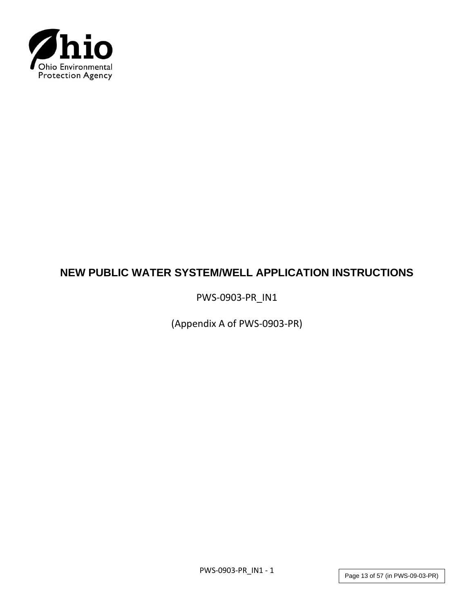

# **NEW PUBLIC WATER SYSTEM/WELL APPLICATION INSTRUCTIONS**

PWS-0903-PR\_IN1

(Appendix A of PWS-0903-PR)

PWS-0903-PR\_IN1 - 1

Page 13 of 57 (in PWS-09-03-PR)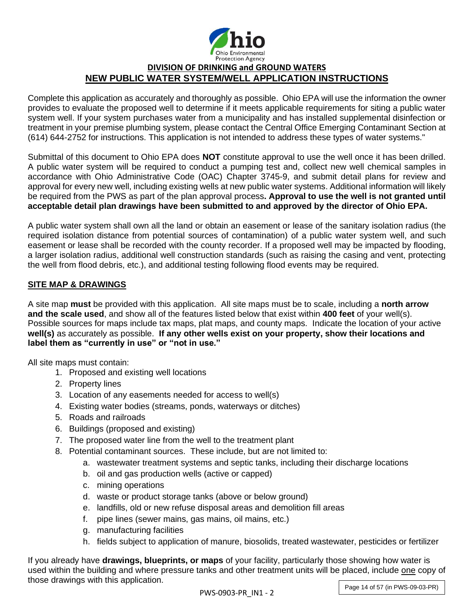

## **DIVISION OF DRINKING and GROUND WATERS NEW PUBLIC WATER SYSTEM/WELL APPLICATION INSTRUCTIONS**

Complete this application as accurately and thoroughly as possible. Ohio EPA will use the information the owner provides to evaluate the proposed well to determine if it meets applicable requirements for siting a public water system well. If your system purchases water from a municipality and has installed supplemental disinfection or treatment in your premise plumbing system, please contact the Central Office Emerging Contaminant Section at (614) 644-2752 for instructions. This application is not intended to address these types of water systems."

Submittal of this document to Ohio EPA does **NOT** constitute approval to use the well once it has been drilled. A public water system will be required to conduct a pumping test and, collect new well chemical samples in accordance with Ohio Administrative Code (OAC) Chapter 3745-9, and submit detail plans for review and approval for every new well, including existing wells at new public water systems. Additional information will likely be required from the PWS as part of the plan approval process**. Approval to use the well is not granted until acceptable detail plan drawings have been submitted to and approved by the director of Ohio EPA.**

A public water system shall own all the land or obtain an easement or lease of the sanitary isolation radius (the required isolation distance from potential sources of contamination) of a public water system well, and such easement or lease shall be recorded with the county recorder. If a proposed well may be impacted by flooding, a larger isolation radius, additional well construction standards (such as raising the casing and vent, protecting the well from flood debris, etc.), and additional testing following flood events may be required.

## **SITE MAP & DRAWINGS**

A site map **must** be provided with this application. All site maps must be to scale, including a **north arrow and the scale used**, and show all of the features listed below that exist within **400 feet** of your well(s). Possible sources for maps include tax maps, plat maps, and county maps. Indicate the location of your active **well(s)** as accurately as possible. **If any other wells exist on your property, show their locations and label them as "currently in use" or "not in use."** 

All site maps must contain:

- 1. Proposed and existing well locations
- 2. Property lines
- 3. Location of any easements needed for access to well(s)
- 4. Existing water bodies (streams, ponds, waterways or ditches)
- 5. Roads and railroads
- 6. Buildings (proposed and existing)
- 7. The proposed water line from the well to the treatment plant
- 8. Potential contaminant sources. These include, but are not limited to:
	- a. wastewater treatment systems and septic tanks, including their discharge locations
	- b. oil and gas production wells (active or capped)
	- c. mining operations
	- d. waste or product storage tanks (above or below ground)
	- e. landfills, old or new refuse disposal areas and demolition fill areas
	- f. pipe lines (sewer mains, gas mains, oil mains, etc.)
	- g. manufacturing facilities
	- h. fields subject to application of manure, biosolids, treated wastewater, pesticides or fertilizer

If you already have **drawings, blueprints, or maps** of your facility, particularly those showing how water is used within the building and where pressure tanks and other treatment units will be placed, include one copy of those drawings with this application.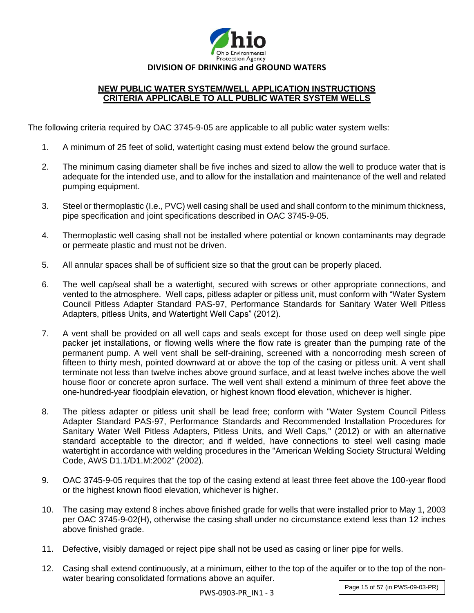

## **NEW PUBLIC WATER SYSTEM/WELL APPLICATION INSTRUCTIONS CRITERIA APPLICABLE TO ALL PUBLIC WATER SYSTEM WELLS**

The following criteria required by OAC 3745-9-05 are applicable to all public water system wells:

- 1. A minimum of 25 feet of solid, watertight casing must extend below the ground surface.
- 2. The minimum casing diameter shall be five inches and sized to allow the well to produce water that is adequate for the intended use, and to allow for the installation and maintenance of the well and related pumping equipment.
- 3. Steel or thermoplastic (I.e., PVC) well casing shall be used and shall conform to the minimum thickness, pipe specification and joint specifications described in OAC 3745-9-05.
- 4. Thermoplastic well casing shall not be installed where potential or known contaminants may degrade or permeate plastic and must not be driven.
- 5. All annular spaces shall be of sufficient size so that the grout can be properly placed.
- 6. The well cap/seal shall be a watertight, secured with screws or other appropriate connections, and vented to the atmosphere. Well caps, pitless adapter or pitless unit, must conform with "Water System Council Pitless Adapter Standard PAS-97, Performance Standards for Sanitary Water Well Pitless Adapters, pitless Units, and Watertight Well Caps" (2012).
- 7. A vent shall be provided on all well caps and seals except for those used on deep well single pipe packer jet installations, or flowing wells where the flow rate is greater than the pumping rate of the permanent pump. A well vent shall be self-draining, screened with a noncorroding mesh screen of fifteen to thirty mesh, pointed downward at or above the top of the casing or pitless unit. A vent shall terminate not less than twelve inches above ground surface, and at least twelve inches above the well house floor or concrete apron surface. The well vent shall extend a minimum of three feet above the one-hundred-year floodplain elevation, or highest known flood elevation, whichever is higher.
- 8. The pitless adapter or pitless unit shall be lead free; conform with "Water System Council Pitless Adapter Standard PAS-97, Performance Standards and Recommended Installation Procedures for Sanitary Water Well Pitless Adapters, Pitless Units, and Well Caps," (2012) or with an alternative standard acceptable to the director; and if welded, have connections to steel well casing made watertight in accordance with welding procedures in the "American Welding Society Structural Welding Code, AWS D1.1/D1.M:2002" (2002).
- 9. OAC 3745-9-05 requires that the top of the casing extend at least three feet above the 100-year flood or the highest known flood elevation, whichever is higher.
- 10. The casing may extend 8 inches above finished grade for wells that were installed prior to May 1, 2003 per OAC 3745-9-02(H), otherwise the casing shall under no circumstance extend less than 12 inches above finished grade.
- 11. Defective, visibly damaged or reject pipe shall not be used as casing or liner pipe for wells.
- 12. Casing shall extend continuously, at a minimum, either to the top of the aquifer or to the top of the nonwater bearing consolidated formations above an aquifer.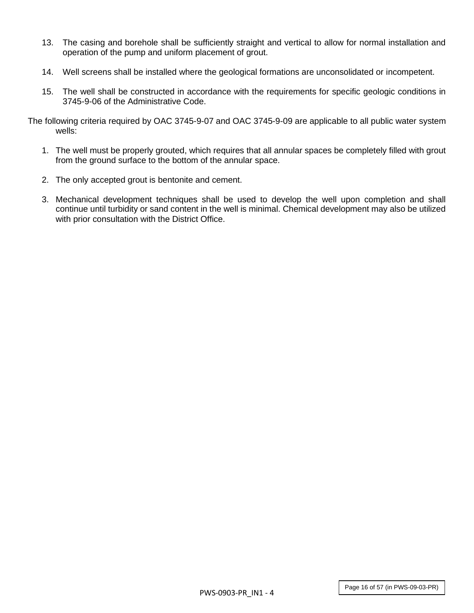- 13. The casing and borehole shall be sufficiently straight and vertical to allow for normal installation and operation of the pump and uniform placement of grout.
- 14. Well screens shall be installed where the geological formations are unconsolidated or incompetent.
- 15. The well shall be constructed in accordance with the requirements for specific geologic conditions in 3745-9-06 of the Administrative Code.

The following criteria required by OAC 3745-9-07 and OAC 3745-9-09 are applicable to all public water system wells:

- 1. The well must be properly grouted, which requires that all annular spaces be completely filled with grout from the ground surface to the bottom of the annular space.
- 2. The only accepted grout is bentonite and cement.
- 3. Mechanical development techniques shall be used to develop the well upon completion and shall continue until turbidity or sand content in the well is minimal. Chemical development may also be utilized with prior consultation with the District Office.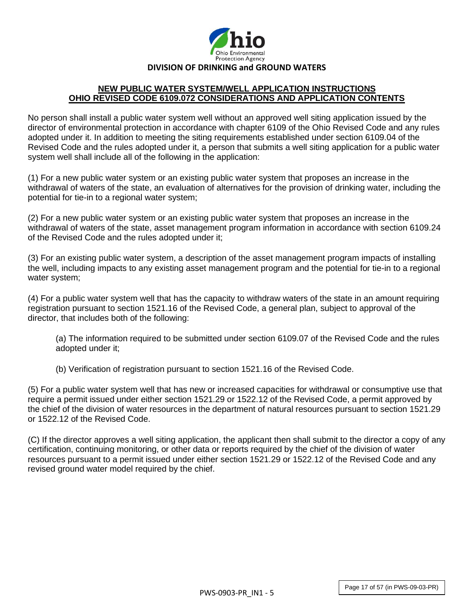

#### **NEW PUBLIC WATER SYSTEM/WELL APPLICATION INSTRUCTIONS OHIO REVISED CODE 6109.072 CONSIDERATIONS AND APPLICATION CONTENTS**

No person shall install a public water system well without an approved well siting application issued by the director of environmental protection in accordance with chapter 6109 of the Ohio Revised Code and any rules adopted under it. In addition to meeting the siting requirements established under section 6109.04 of the Revised Code and the rules adopted under it, a person that submits a well siting application for a public water system well shall include all of the following in the application:

(1) For a new public water system or an existing public water system that proposes an increase in the withdrawal of waters of the state, an evaluation of alternatives for the provision of drinking water, including the potential for tie-in to a regional water system;

(2) For a new public water system or an existing public water system that proposes an increase in the withdrawal of waters of the state, asset management program information in accordance with section 6109.24 of the Revised Code and the rules adopted under it;

(3) For an existing public water system, a description of the asset management program impacts of installing the well, including impacts to any existing asset management program and the potential for tie-in to a regional water system;

(4) For a public water system well that has the capacity to withdraw waters of the state in an amount requiring registration pursuant to section 1521.16 of the Revised Code, a general plan, subject to approval of the director, that includes both of the following:

(a) The information required to be submitted under section 6109.07 of the Revised Code and the rules adopted under it;

(b) Verification of registration pursuant to section 1521.16 of the Revised Code.

(5) For a public water system well that has new or increased capacities for withdrawal or consumptive use that require a permit issued under either section 1521.29 or 1522.12 of the Revised Code, a permit approved by the chief of the division of water resources in the department of natural resources pursuant to section 1521.29 or 1522.12 of the Revised Code.

(C) If the director approves a well siting application, the applicant then shall submit to the director a copy of any certification, continuing monitoring, or other data or reports required by the chief of the division of water resources pursuant to a permit issued under either section 1521.29 or 1522.12 of the Revised Code and any revised ground water model required by the chief.

Page 17 of 57 (in PWS-09-03-PR)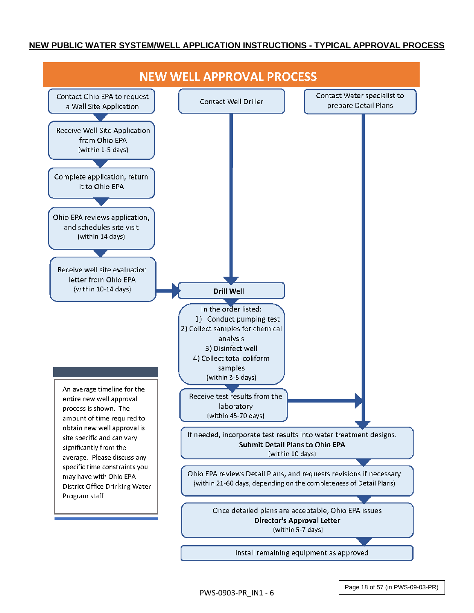## **NEW PUBLIC WATER SYSTEM/WELL APPLICATION INSTRUCTIONS - TYPICAL APPROVAL PROCESS**